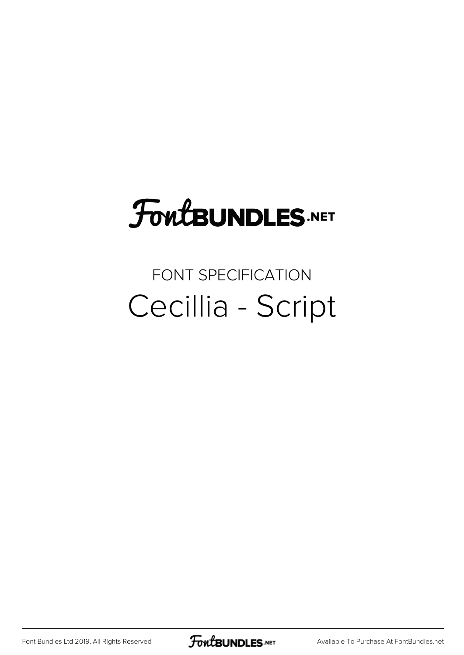## FoutBUNDLES.NET

## FONT SPECIFICATION Cecillia - Script

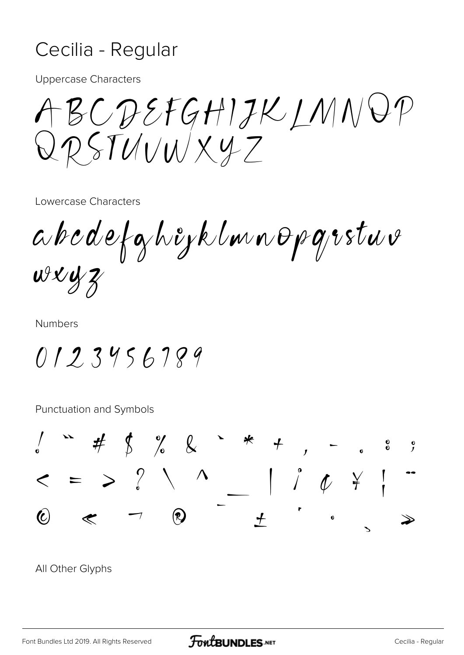## Cecilia - Regular

Uppercase Characters

ABCDEFGHIJKLMNOP QRSTUVWXYZ

Lowercase Characters

abcdefghijklmnopqrstuv  $wxyz$ 

Numbers

0123456789

Punctuation and Symbols



All Other Glyphs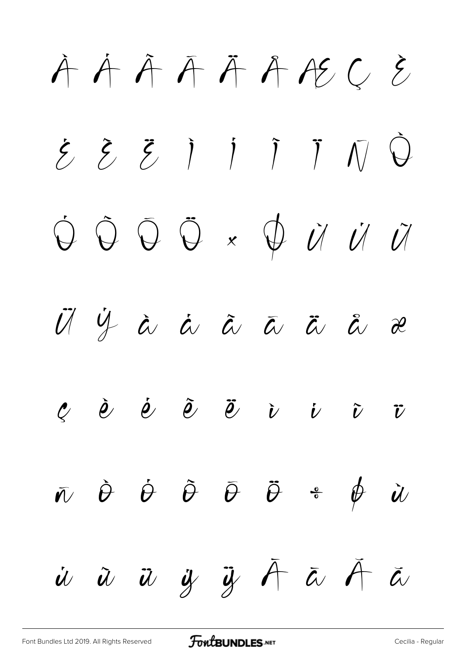$\hat{A}$   $\hat{A}$   $\hat{A}$   $\hat{A}$   $\hat{A}$   $\hat{A}$   $\hat{B}$   $\hat{C}$   $\hat{C}$ É Ê Ë Ì Í Î Ï Ñ Ò  $\dot{\mathcal{O}}$   $\ddot{\mathcal{O}}$   $\times$   $\dot{\mathcal{O}}$   $\dot{\mathcal{U}}$   $\dot{\mathcal{U}}$   $\ddot{\mathcal{U}}$ Ü Ý à á â ã ä å æ  $e$  è é ë i i  $\tilde{v}$  $\bar{w}$   $\dot{\theta}$   $\dot{\theta}$   $\bar{\theta}$   $\ddot{\theta}$   $\ddot{\theta}$   $\ddot{\theta}$   $\dot{\theta}$   $\dot{\theta}$  $\dot{u}$   $\ddot{u}$   $\ddot{y}$   $\ddot{y}$   $\ddot{A}$   $\ddot{a}$   $\ddot{a}$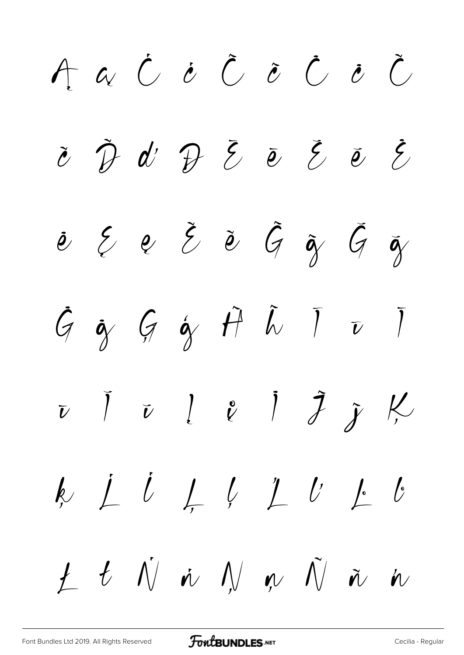AaCOCOCOC  $\check{c}$   $\check{D}$   $d'$   $\mathcal{D}$   $\check{c}$   $\check{e}$   $\check{e}$   $\check{e}$  $e$   $\xi$   $e$   $\xi$   $\tilde{e}$   $\xi$   $\tilde{q}$   $\xi$   $\tilde{q}$  $G$  of  $G$  of  $\hat{H}$   $\tilde{L}$   $\bar{L}$   $\bar{U}$  $\bar{v}$   $\bar{v}$   $\bar{v}$   $\bar{v}$   $\bar{v}$   $\bar{v}$   $\bar{v}$   $\bar{v}$   $\bar{v}$  $1$   $t$   $\dot{\wedge}$   $\dot{\wedge}$   $\dot{\wedge}$   $\dot{\wedge}$   $\dot{\wedge}$   $\dot{\wedge}$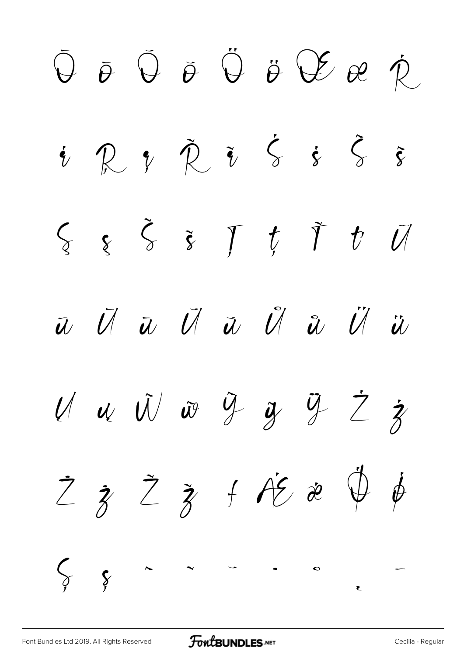$\bar{\Theta}$   $\bar{\Theta}$   $\bar{\Theta}$   $\ddot{\Theta}$   $\ddot{\Theta}$   $\ddot{\theta}$   $\ddot{\theta}$   $\ddot{\theta}$   $\ddot{\theta}$   $\ddot{\theta}$  $i \mathcal{R}$   $i \mathcal{\tilde{R}}$   $\tilde{i}$   $\zeta$   $\dot{\zeta}$   $\tilde{\zeta}$  $\zeta$   $\xi$   $\xi$   $\xi$   $\zeta$   $f$   $\xi$   $\zeta$ ũ Ū ū Ŭ ŭ Ů ů Ű ű  $U$  u  $\tilde{U}$  w  $\tilde{Y}$  y  $\tilde{y}$   $\tilde{Z}$   $\dot{\tilde{z}}$  $Z$   $\zeta$   $Z$   $\zeta$   $f$   $A\overline{c}$   $x$   $\psi$   $\phi$ Ș ș ˆ ˇ ˘ ˙ ˚  $\overline{a}$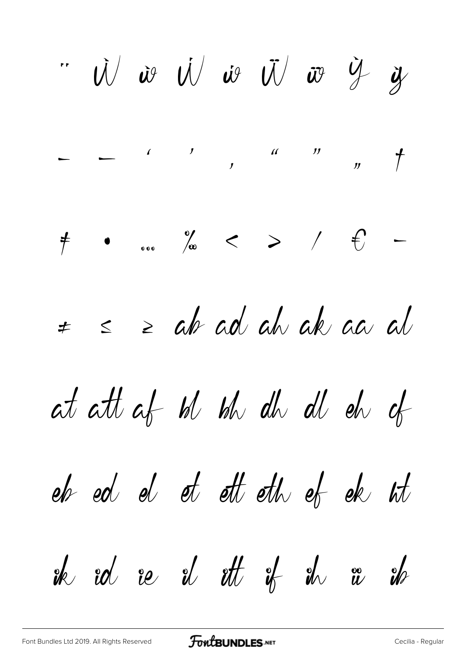W is W is W is y y  $\neq$  ...  $\frac{1}{\sqrt{\omega}}$  < >  $1 + \epsilon$  $s$   $\geq$  ab ad ah ak aa al  $\neq$ at att af bl bh dh d eh of eh ed el et ett eth ef ek ht  $ik$  rd re  $i$  rt  $i$   $k$   $i$   $m$   $n$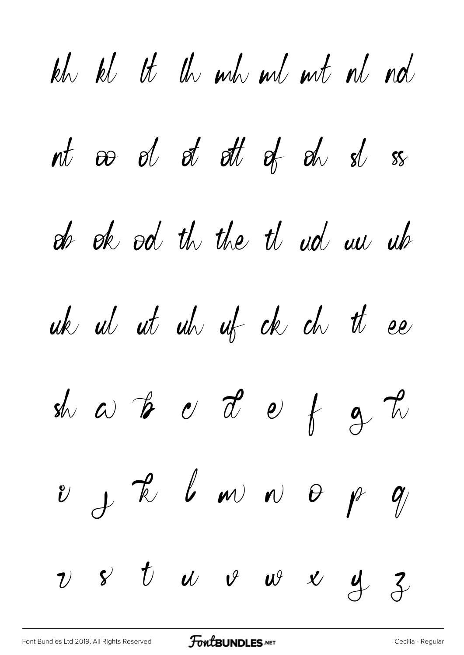kh kl tt th mh ml mt nl nd nt oo ol ot ott of oh sl ss de ok od th the th ud un uh uk ut ut uh uf de du tt ee shot to the state of  $\phi$  $v$  f l m n  $\theta$  p  $q$  $v$  &  $t$   $w$   $v$   $w$   $y$   $z$